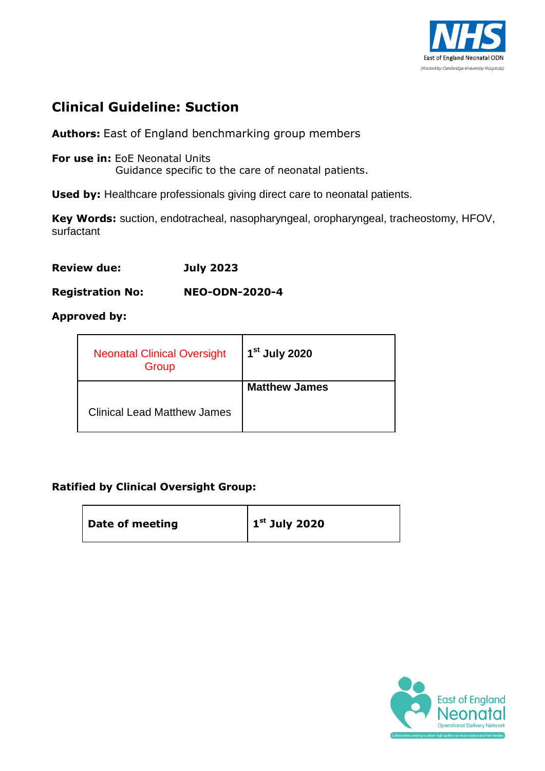

# **Clinical Guideline: Suction**

**Authors:** East of England benchmarking group members

**For use in:** EoE Neonatal Units Guidance specific to the care of neonatal patients.

**Used by:** Healthcare professionals giving direct care to neonatal patients.

**Key Words:** suction, endotracheal, nasopharyngeal, oropharyngeal, tracheostomy, HFOV, surfactant

**Review due: July 2023**

**Registration No: NEO-ODN-2020-4** 

#### **Approved by:**

| <b>Neonatal Clinical Oversight</b><br>Group | 1 <sup>st</sup> July 2020 |
|---------------------------------------------|---------------------------|
|                                             | <b>Matthew James</b>      |
| <b>Clinical Lead Matthew James</b>          |                           |

#### **Ratified by Clinical Oversight Group:**

| Date of meeting | $\vert$ 1 <sup>st</sup> July 2020 |
|-----------------|-----------------------------------|
|-----------------|-----------------------------------|

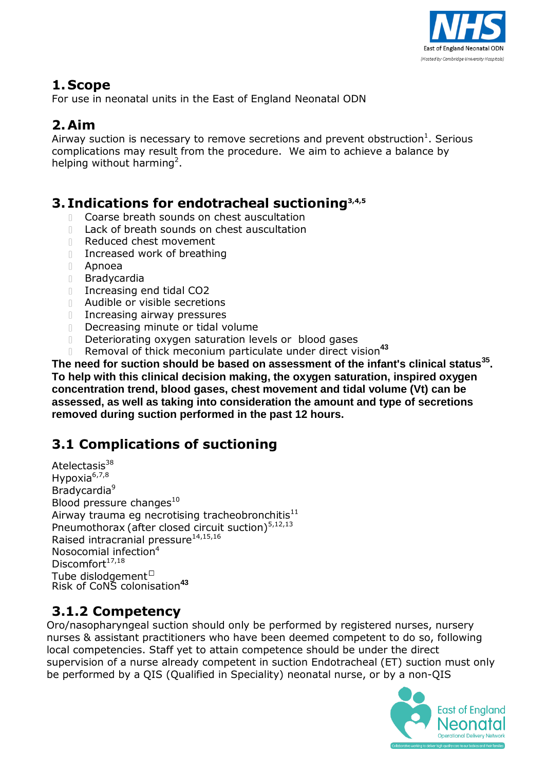

# **1. Scope**

For use in neonatal units in the East of England Neonatal ODN

# **2.Aim**

Airway suction is necessary to remove secretions and prevent obstruction $^1$ . Serious complications may result from the procedure. We aim to achieve a balance by helping without harming<sup>2</sup>.

## **3. Indications for endotracheal suctioning 3,4,5**

- Coarse breath sounds on chest auscultation
- $\mathbb{R}$ Lack of breath sounds on chest auscultation
- $\mathbb{L}$ Reduced chest movement
- Increased work of breathing
- Apnoea
- Bradycardia
- $\mathbb{R}$ Increasing end tidal CO2
- Audible or visible secretions
- **Increasing airway pressures**
- Decreasing minute or tidal volume
- Deteriorating oxygen saturation levels or blood gases  $\hfill\Box$
- Removal of thick meconium particulate under direct vision**<sup>43</sup>**  $\mathbb{R}^+$

**The need for suction should be based on assessment of the infant's clinical status 35 . To help with this clinical decision making, the oxygen saturation, inspired oxygen concentration trend, blood gases, chest movement and tidal volume (Vt) can be assessed, as well as taking into consideration the amount and type of secretions removed during suction performed in the past 12 hours.**

# **3.1 Complications of suctioning**

Atelectasis<sup>38</sup> Hypoxia<sup>6,7,8</sup> Bradycardia 9 Blood pressure changes $^{10}$ Airway trauma eg necrotising tracheobronchitis $^{11}$ Pneumothorax (after closed circuit suction)<sup>5,12,13</sup> Raised intracranial pressure<sup>14,15,16</sup> Nosocomial infection<sup>4</sup> Discomfort<sup>17,18</sup> Tube dislodgement Risk of CoNS colonisation**<sup>43</sup>**

## **3.1.2 Competency**

Oro/nasopharyngeal suction should only be performed by registered nurses, nursery nurses & assistant practitioners who have been deemed competent to do so, following local competencies. Staff yet to attain competence should be under the direct supervision of a nurse already competent in suction Endotracheal (ET) suction must only be performed by a QIS (Qualified in Speciality) neonatal nurse, or by a non-QIS

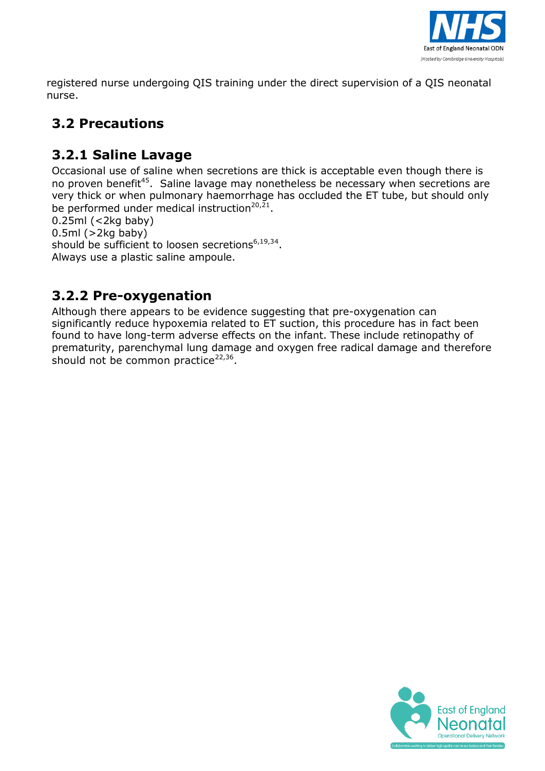

registered nurse undergoing QIS training under the direct supervision of a QIS neonatal nurse.

# **3.2 Precautions**

# **3.2.1 Saline Lavage**

Occasional use of saline when secretions are thick is acceptable even though there is no proven benefit<sup>45</sup>. Saline lavage may nonetheless be necessary when secretions are very thick or when pulmonary haemorrhage has occluded the ET tube, but should only be performed under medical instruction<sup>20,21</sup>.

0.25ml (<2kg baby)  $0.5ml$  ( $>2kg$  baby) should be sufficient to loosen secretions<sup>6,19,34</sup>. Always use a plastic saline ampoule.

# **3.2.2 Pre-oxygenation**

Although there appears to be evidence suggesting that pre-oxygenation can significantly reduce hypoxemia related to ET suction, this procedure has in fact been found to have long-term adverse effects on the infant. These include retinopathy of prematurity, parenchymal lung damage and oxygen free radical damage and therefore should not be common practice<sup>22,36</sup>.

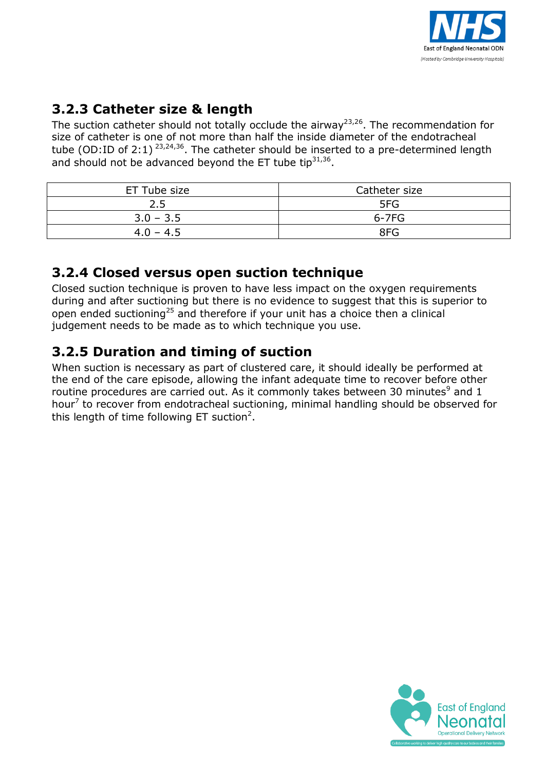

# **3.2.3 Catheter size & length**

The suction catheter should not totally occlude the airway<sup>23,26</sup>. The recommendation for size of catheter is one of not more than half the inside diameter of the endotracheal tube (OD:ID of 2:1)  $^{23,24,36}$ . The catheter should be inserted to a pre-determined length and should not be advanced beyond the ET tube tip $^{31,36}$ .

| ET Tube size | Catheter size |
|--------------|---------------|
| 2.5          | 5FG           |
| $3.0 - 3.5$  | $6 - 7FG$     |
| $4.0 - 4.5$  | 8FG           |

## **3.2.4 Closed versus open suction technique**

Closed suction technique is proven to have less impact on the oxygen requirements during and after suctioning but there is no evidence to suggest that this is superior to open ended suctioning<sup>25</sup> and therefore if your unit has a choice then a clinical judgement needs to be made as to which technique you use.

# **3.2.5 Duration and timing of suction**

When suction is necessary as part of clustered care, it should ideally be performed at the end of the care episode, allowing the infant adequate time to recover before other routine procedures are carried out. As it commonly takes between 30 minutes $9$  and 1 hour<sup>7</sup> to recover from endotracheal suctioning, minimal handling should be observed for this length of time following ET suction<sup>2</sup>.

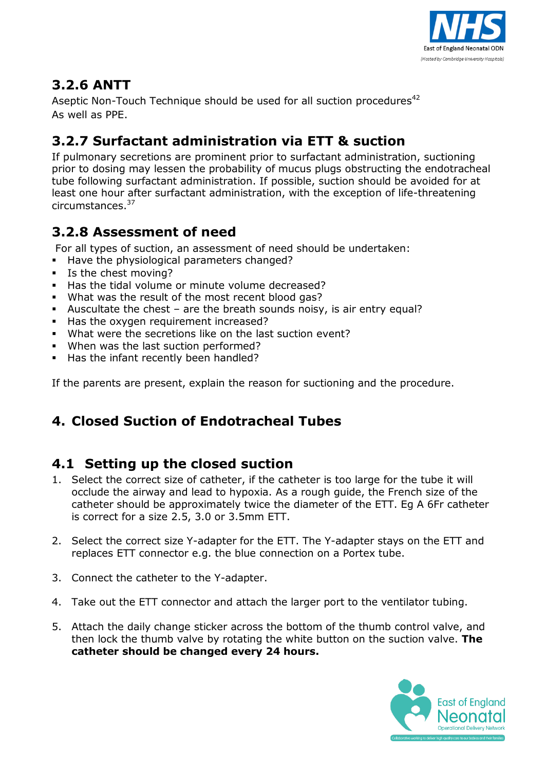

# **3.2.6 ANTT**

Aseptic Non-Touch Technique should be used for all suction procedures<sup>42</sup> As well as PPE.

# **3.2.7 Surfactant administration via ETT & suction**

If pulmonary secretions are prominent prior to surfactant administration, suctioning prior to dosing may lessen the probability of mucus plugs obstructing the endotracheal tube following surfactant administration. If possible, suction should be avoided for at least one hour after surfactant administration, with the exception of life-threatening circumstances. 37

# **3.2.8 Assessment of need**

For all types of suction, an assessment of need should be undertaken:

- Have the physiological parameters changed?
- **Is the chest moving?**
- Has the tidal volume or minute volume decreased?
- What was the result of the most recent blood gas?
- Auscultate the chest are the breath sounds noisy, is air entry equal?
- Has the oxygen requirement increased?
- What were the secretions like on the last suction event?
- When was the last suction performed?
- Has the infant recently been handled?

If the parents are present, explain the reason for suctioning and the procedure.

# **4. Closed Suction of Endotracheal Tubes**

# **4.1 Setting up the closed suction**

- 1. Select the correct size of catheter, if the catheter is too large for the tube it will occlude the airway and lead to hypoxia. As a rough guide, the French size of the catheter should be approximately twice the diameter of the ETT. Eg A 6Fr catheter is correct for a size 2.5, 3.0 or 3.5mm ETT.
- 2. Select the correct size Y-adapter for the ETT. The Y-adapter stays on the ETT and replaces ETT connector e.g. the blue connection on a Portex tube.
- 3. Connect the catheter to the Y-adapter.
- 4. Take out the ETT connector and attach the larger port to the ventilator tubing.
- 5. Attach the daily change sticker across the bottom of the thumb control valve, and then lock the thumb valve by rotating the white button on the suction valve. **The catheter should be changed every 24 hours.**

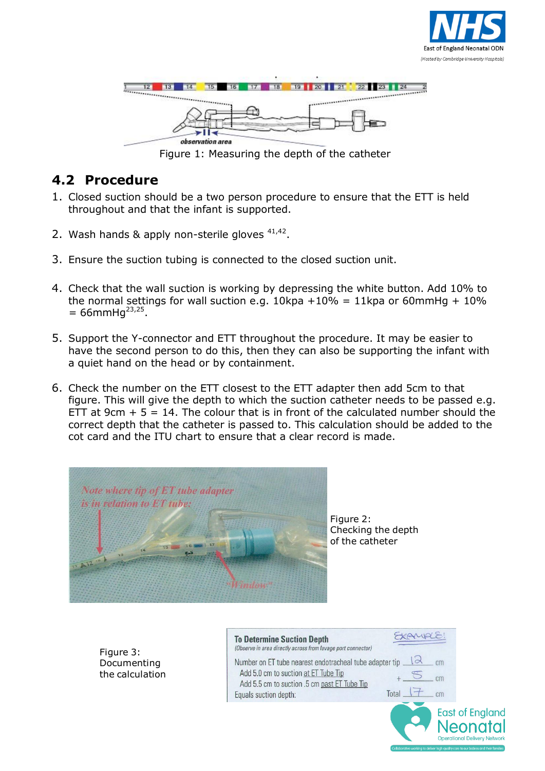



Figure 1: Measuring the depth of the catheter

#### **4.2 Procedure**

- 1. Closed suction should be a two person procedure to ensure that the ETT is held throughout and that the infant is supported.
- 2. Wash hands & apply non-sterile gloves <sup>41,42</sup>.
- 3. Ensure the suction tubing is connected to the closed suction unit.
- 4. Check that the wall suction is working by depressing the white button. Add 10% to the normal settings for wall suction e.g.  $10$ kpa +10% = 11kpa or 60mmHg + 10%  $= 66$ mmHg<sup>23,25</sup>.
- 5. Support the Y-connector and ETT throughout the procedure. It may be easier to have the second person to do this, then they can also be supporting the infant with a quiet hand on the head or by containment.
- 6. Check the number on the ETT closest to the ETT adapter then add 5cm to that figure. This will give the depth to which the suction catheter needs to be passed e.g. ETT at  $9cm + 5 = 14$ . The colour that is in front of the calculated number should the correct depth that the catheter is passed to. This calculation should be added to the cot card and the ITU chart to ensure that a clear record is made.



Figure 3: Documenting the calculation Figure 2: Checking the depth of the catheter

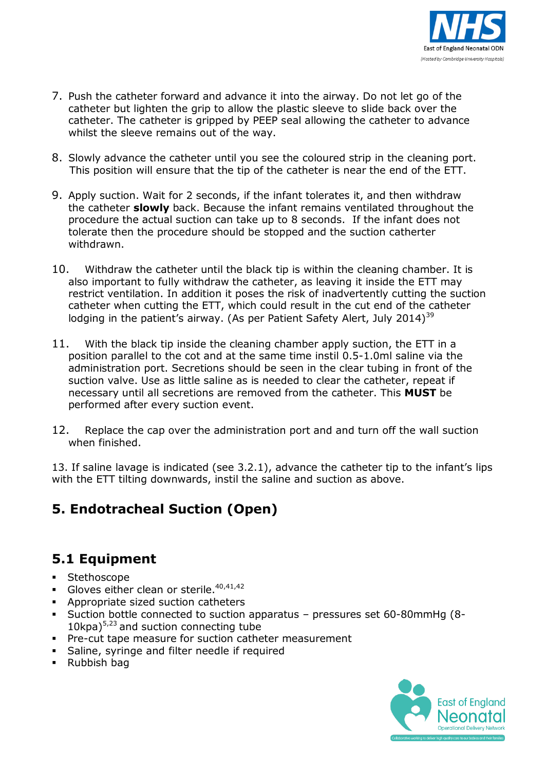

- 7. Push the catheter forward and advance it into the airway. Do not let go of the catheter but lighten the grip to allow the plastic sleeve to slide back over the catheter. The catheter is gripped by PEEP seal allowing the catheter to advance whilst the sleeve remains out of the way.
- 8. Slowly advance the catheter until you see the coloured strip in the cleaning port. This position will ensure that the tip of the catheter is near the end of the ETT.
- 9. Apply suction. Wait for 2 seconds, if the infant tolerates it, and then withdraw the catheter **slowly** back. Because the infant remains ventilated throughout the procedure the actual suction can take up to 8 seconds. If the infant does not tolerate then the procedure should be stopped and the suction catherter withdrawn.
- 10. Withdraw the catheter until the black tip is within the cleaning chamber. It is also important to fully withdraw the catheter, as leaving it inside the ETT may restrict ventilation. In addition it poses the risk of inadvertently cutting the suction catheter when cutting the ETT, which could result in the cut end of the catheter lodging in the patient's airway. (As per Patient Safety Alert, July 2014)<sup>39</sup>
- 11. With the black tip inside the cleaning chamber apply suction, the ETT in a position parallel to the cot and at the same time instil 0.5-1.0ml saline via the administration port. Secretions should be seen in the clear tubing in front of the suction valve. Use as little saline as is needed to clear the catheter, repeat if necessary until all secretions are removed from the catheter. This **MUST** be performed after every suction event.
- 12. Replace the cap over the administration port and and turn off the wall suction when finished.

13. If saline lavage is indicated (see 3.2.1), advance the catheter tip to the infant's lips with the ETT tilting downwards, instil the saline and suction as above.

## **5. Endotracheal Suction (Open)**

#### **5.1 Equipment**

- **Stethoscope**
- Gloves either clean or sterile.  $40,41,42$
- **Appropriate sized suction catheters**
- Suction bottle connected to suction apparatus pressures set 60-80mmHg (8-  $10$ kpa)<sup>5,23</sup> and suction connecting tube
- **Pre-cut tape measure for suction catheter measurement**
- **Saline, syringe and filter needle if required**
- Rubbish bag

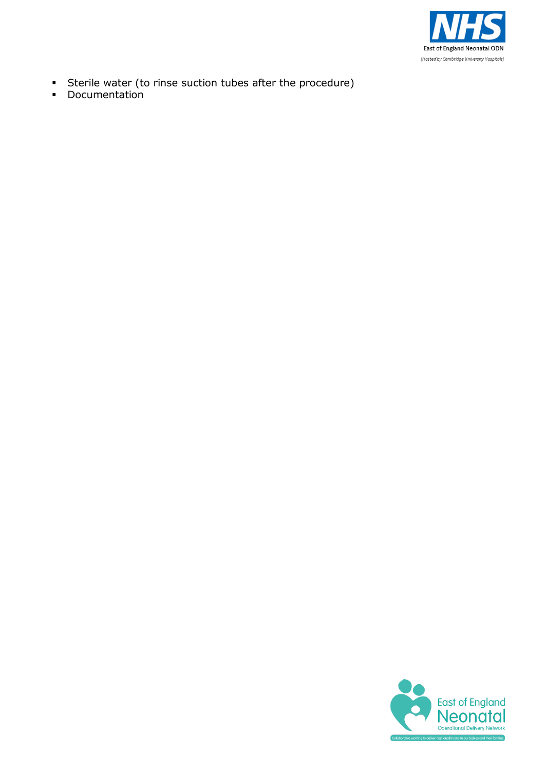

- Sterile water (to rinse suction tubes after the procedure)
- **•** Documentation

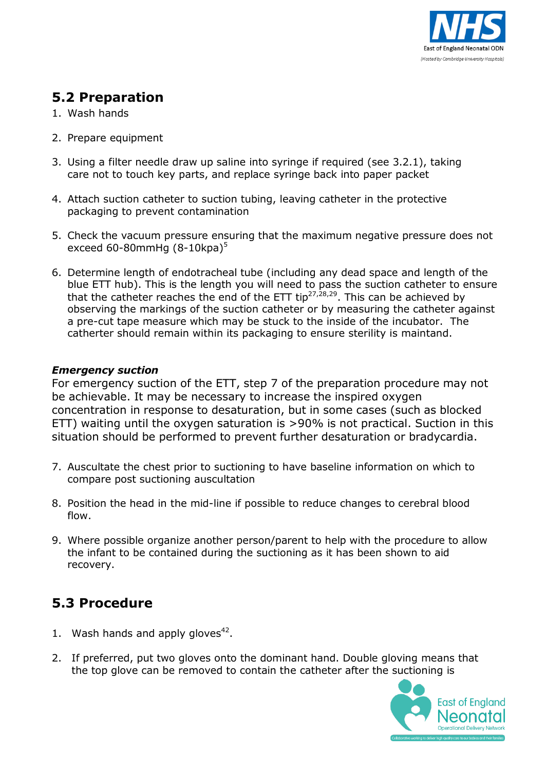

#### **5.2 Preparation**

- 1. Wash hands
- 2. Prepare equipment
- 3. Using a filter needle draw up saline into syringe if required (see 3.2.1), taking care not to touch key parts, and replace syringe back into paper packet
- 4. Attach suction catheter to suction tubing, leaving catheter in the protective packaging to prevent contamination
- 5. Check the vacuum pressure ensuring that the maximum negative pressure does not exceed 60-80mmHg (8-10kpa) 5
- 6. Determine length of endotracheal tube (including any dead space and length of the blue ETT hub). This is the length you will need to pass the suction catheter to ensure that the catheter reaches the end of the ETT tip<sup>27,28,29</sup>. This can be achieved by observing the markings of the suction catheter or by measuring the catheter against a pre-cut tape measure which may be stuck to the inside of the incubator. The catherter should remain within its packaging to ensure sterility is maintand.

#### *Emergency suction*

For emergency suction of the ETT, step 7 of the preparation procedure may not be achievable. It may be necessary to increase the inspired oxygen concentration in response to desaturation, but in some cases (such as blocked ETT) waiting until the oxygen saturation is >90% is not practical. Suction in this situation should be performed to prevent further desaturation or bradycardia.

- 7. Auscultate the chest prior to suctioning to have baseline information on which to compare post suctioning auscultation
- 8. Position the head in the mid-line if possible to reduce changes to cerebral blood flow.
- 9. Where possible organize another person/parent to help with the procedure to allow the infant to be contained during the suctioning as it has been shown to aid recovery.

## **5.3 Procedure**

- 1. Wash hands and apply gloves $42$ .
- 2. If preferred, put two gloves onto the dominant hand. Double gloving means that the top glove can be removed to contain the catheter after the suctioning is

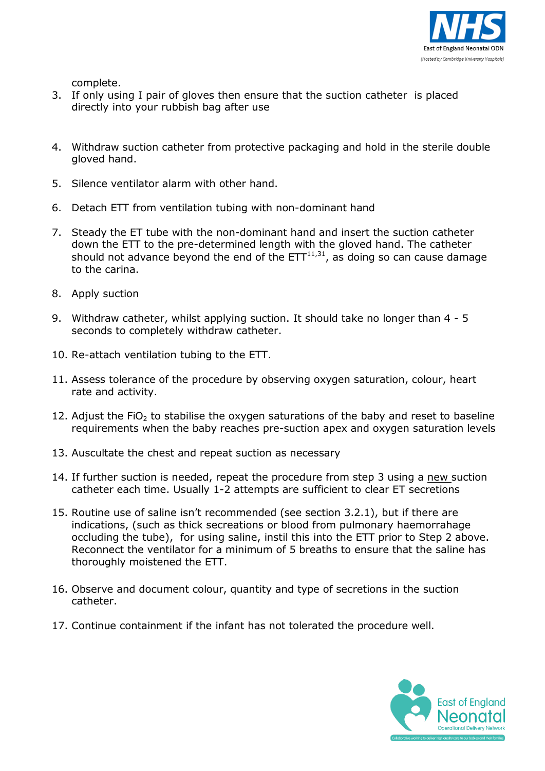

complete.

- 3. If only using I pair of gloves then ensure that the suction catheter is placed directly into your rubbish bag after use
- 4. Withdraw suction catheter from protective packaging and hold in the sterile double gloved hand.
- 5. Silence ventilator alarm with other hand.
- 6. Detach ETT from ventilation tubing with non-dominant hand
- 7. Steady the ET tube with the non-dominant hand and insert the suction catheter down the ETT to the pre-determined length with the gloved hand. The catheter should not advance beyond the end of the  $ETT^{11,31}$ , as doing so can cause damage to the carina.
- 8. Apply suction
- 9. Withdraw catheter, whilst applying suction. It should take no longer than 4 5 seconds to completely withdraw catheter.
- 10. Re-attach ventilation tubing to the ETT.
- 11. Assess tolerance of the procedure by observing oxygen saturation, colour, heart rate and activity.
- 12. Adjust the FiO<sub>2</sub> to stabilise the oxygen saturations of the baby and reset to baseline requirements when the baby reaches pre-suction apex and oxygen saturation levels
- 13. Auscultate the chest and repeat suction as necessary
- 14. If further suction is needed, repeat the procedure from step 3 using a new suction catheter each time. Usually 1-2 attempts are sufficient to clear ET secretions
- 15. Routine use of saline isn't recommended (see section 3.2.1), but if there are indications, (such as thick secreations or blood from pulmonary haemorrahage occluding the tube), for using saline, instil this into the ETT prior to Step 2 above. Reconnect the ventilator for a minimum of 5 breaths to ensure that the saline has thoroughly moistened the ETT.
- 16. Observe and document colour, quantity and type of secretions in the suction catheter.
- 17. Continue containment if the infant has not tolerated the procedure well.

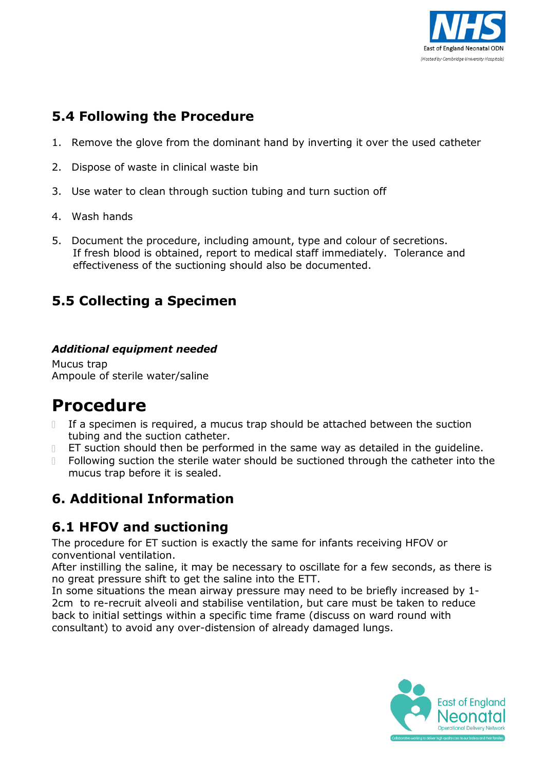

# **5.4 Following the Procedure**

- 1. Remove the glove from the dominant hand by inverting it over the used catheter
- 2. Dispose of waste in clinical waste bin
- 3. Use water to clean through suction tubing and turn suction off
- 4. Wash hands
- 5. Document the procedure, including amount, type and colour of secretions. If fresh blood is obtained, report to medical staff immediately. Tolerance and effectiveness of the suctioning should also be documented.

# **5.5 Collecting a Specimen**

#### *Additional equipment needed*

Mucus trap Ampoule of sterile water/saline

# **Procedure**

- If a specimen is required, a mucus trap should be attached between the suction tubing and the suction catheter.
- ET suction should then be performed in the same way as detailed in the guideline.  $\Box$
- Following suction the sterile water should be suctioned through the catheter into the  $\mathbb{R}$ mucus trap before it is sealed.

# **6. Additional Information**

# **6.1 HFOV and suctioning**

The procedure for ET suction is exactly the same for infants receiving HFOV or conventional ventilation.

After instilling the saline, it may be necessary to oscillate for a few seconds, as there is no great pressure shift to get the saline into the ETT.

In some situations the mean airway pressure may need to be briefly increased by 1- 2cm to re-recruit alveoli and stabilise ventilation, but care must be taken to reduce back to initial settings within a specific time frame (discuss on ward round with consultant) to avoid any over-distension of already damaged lungs.

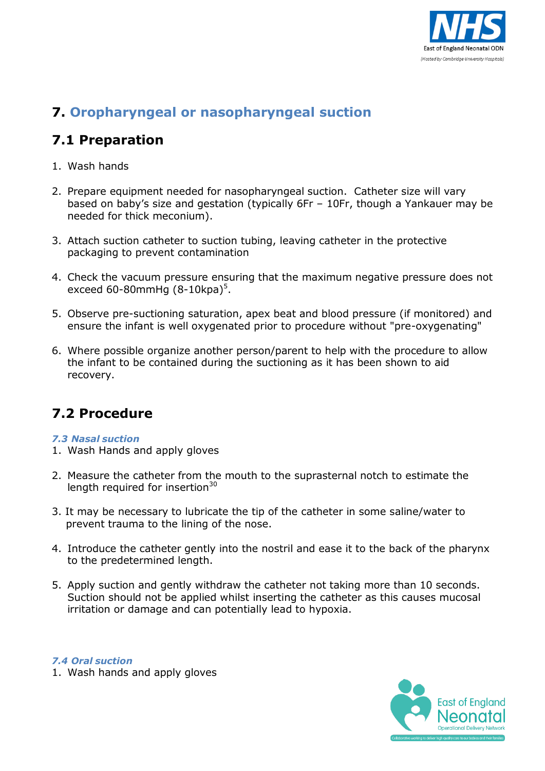

# **7. Oropharyngeal or nasopharyngeal suction**

# **7.1 Preparation**

- 1. Wash hands
- 2. Prepare equipment needed for nasopharyngeal suction. Catheter size will vary based on baby's size and gestation (typically 6Fr – 10Fr, though a Yankauer may be needed for thick meconium).
- 3. Attach suction catheter to suction tubing, leaving catheter in the protective packaging to prevent contamination
- 4. Check the vacuum pressure ensuring that the maximum negative pressure does not exceed 60-80mmHg (8-10kpa)<sup>5</sup>.
- 5. Observe pre-suctioning saturation, apex beat and blood pressure (if monitored) and ensure the infant is well oxygenated prior to procedure without "pre-oxygenating"
- 6. Where possible organize another person/parent to help with the procedure to allow the infant to be contained during the suctioning as it has been shown to aid recovery.

# **7.2 Procedure**

#### *7.3 Nasal suction*

- 1. Wash Hands and apply gloves
- 2. Measure the catheter from the mouth to the suprasternal notch to estimate the length required for insertion $30$
- 3. It may be necessary to lubricate the tip of the catheter in some saline/water to prevent trauma to the lining of the nose.
- 4. Introduce the catheter gently into the nostril and ease it to the back of the pharynx to the predetermined length.
- 5. Apply suction and gently withdraw the catheter not taking more than 10 seconds. Suction should not be applied whilst inserting the catheter as this causes mucosal irritation or damage and can potentially lead to hypoxia.



*7.4 Oral suction*

1. Wash hands and apply gloves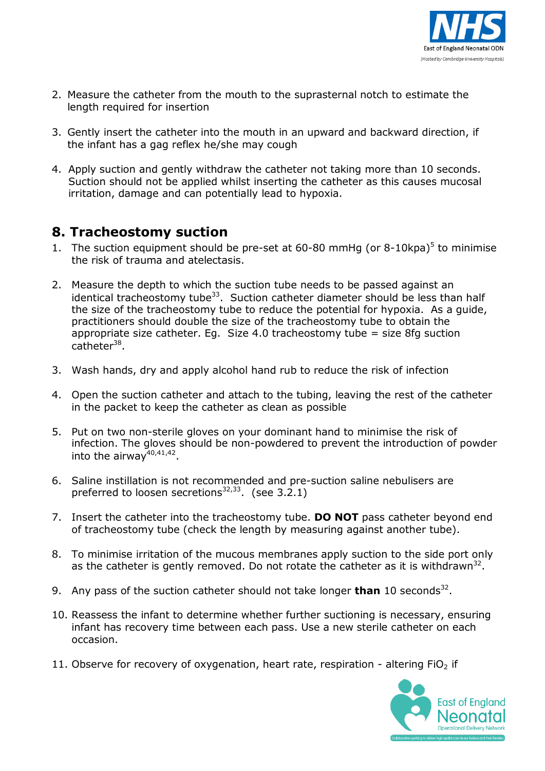

- 2. Measure the catheter from the mouth to the suprasternal notch to estimate the length required for insertion
- 3. Gently insert the catheter into the mouth in an upward and backward direction, if the infant has a gag reflex he/she may cough
- 4. Apply suction and gently withdraw the catheter not taking more than 10 seconds. Suction should not be applied whilst inserting the catheter as this causes mucosal irritation, damage and can potentially lead to hypoxia.

#### **8. Tracheostomy suction**

- 1. The suction equipment should be pre-set at  $60-80$  mmHg (or 8-10kpa)<sup>5</sup> to minimise the risk of trauma and atelectasis.
- 2. Measure the depth to which the suction tube needs to be passed against an identical tracheostomy tube<sup>33</sup>. Suction catheter diameter should be less than half the size of the tracheostomy tube to reduce the potential for hypoxia. As a guide, practitioners should double the size of the tracheostomy tube to obtain the appropriate size catheter. Eq. Size  $4.0$  tracheostomy tube = size 8fg suction catheter<sup>38</sup>.
- 3. Wash hands, dry and apply alcohol hand rub to reduce the risk of infection
- 4. Open the suction catheter and attach to the tubing, leaving the rest of the catheter in the packet to keep the catheter as clean as possible
- 5. Put on two non-sterile gloves on your dominant hand to minimise the risk of infection. The gloves should be non-powdered to prevent the introduction of powder into the airway<sup>40,41,42</sup>.
- 6. Saline instillation is not recommended and pre-suction saline nebulisers are preferred to loosen secretions $32,33$ . (see 3.2.1)
- 7. Insert the catheter into the tracheostomy tube. **DO NOT** pass catheter beyond end of tracheostomy tube (check the length by measuring against another tube).
- 8. To minimise irritation of the mucous membranes apply suction to the side port only as the catheter is gently removed. Do not rotate the catheter as it is withdrawn<sup>32</sup>.
- 9. Any pass of the suction catheter should not take longer **than** 10 seconds<sup>32</sup>.
- 10. Reassess the infant to determine whether further suctioning is necessary, ensuring infant has recovery time between each pass. Use a new sterile catheter on each occasion.
- 11. Observe for recovery of oxygenation, heart rate, respiration altering  $FiO<sub>2</sub>$  if

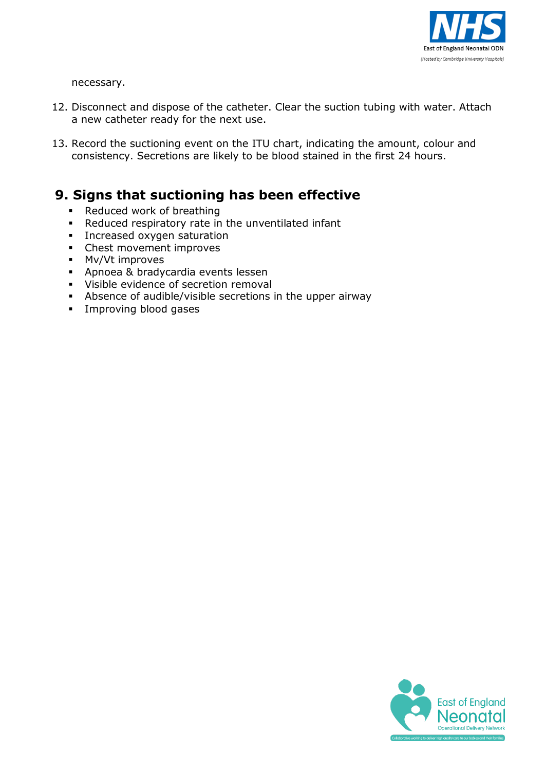

necessary.

- 12. Disconnect and dispose of the catheter. Clear the suction tubing with water. Attach a new catheter ready for the next use.
- 13. Record the suctioning event on the ITU chart, indicating the amount, colour and consistency. Secretions are likely to be blood stained in the first 24 hours.

#### **9. Signs that suctioning has been effective**

- Reduced work of breathing
- Reduced respiratory rate in the unventilated infant
- **Increased oxygen saturation**
- Chest movement improves
- **Mv/Vt improves**
- Apnoea & bradycardia events lessen
- Visible evidence of secretion removal
- Absence of audible/visible secretions in the upper airway
- **Improving blood gases**

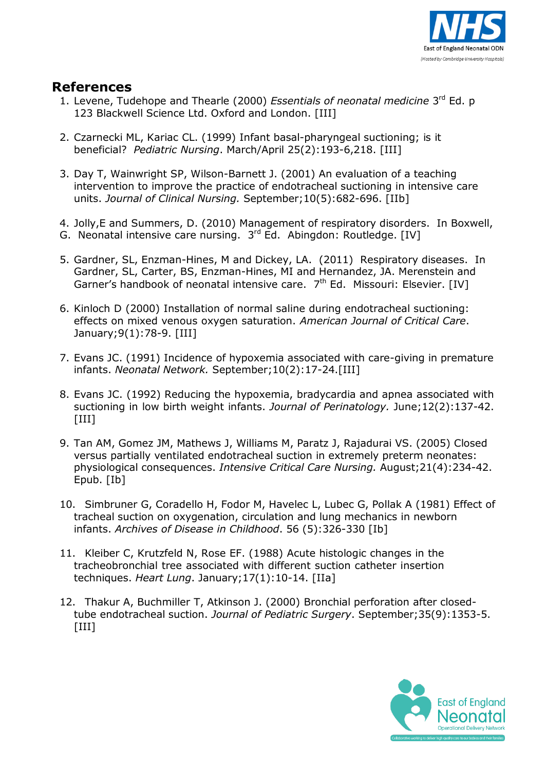

#### **References**

- 1. Levene, Tudehope and Thearle (2000) *Essentials of neonatal medicine* 3 rd Ed. p 123 Blackwell Science Ltd. Oxford and London. [III]
- 2. Czarnecki ML, Kariac CL. (1999) Infant basal-pharyngeal suctioning; is it beneficial? *Pediatric Nursing*. March/April 25(2):193-6,218. [III]
- 3. Day T, Wainwright SP, Wilson-Barnett J. (2001) An evaluation of a teaching intervention to improve the practice of endotracheal suctioning in intensive care units. *Journal of Clinical Nursing.* September;10(5):682-696. [IIb]
- 4. Jolly,E and Summers, D. (2010) Management of respiratory disorders. In Boxwell,
- G. Neonatal intensive care nursing. 3<sup>rd</sup> Ed. Abingdon: Routledge. [IV]
- 5. Gardner, SL, Enzman-Hines, M and Dickey, LA. (2011) Respiratory diseases. In Gardner, SL, Carter, BS, Enzman-Hines, MI and Hernandez, JA. Merenstein and Garner's handbook of neonatal intensive care. 7<sup>th</sup> Ed. Missouri: Elsevier. [IV]
- 6. Kinloch D (2000) Installation of normal saline during endotracheal suctioning: effects on mixed venous oxygen saturation. *American Journal of Critical Care*. January;9(1):78-9. [III]
- 7. Evans JC. (1991) Incidence of hypoxemia associated with care-giving in premature infants. *Neonatal Network.* September;10(2):17-24.[III]
- 8. Evans JC. (1992) Reducing the hypoxemia, bradycardia and apnea associated with suctioning in low birth weight infants. *Journal of Perinatology.* June;12(2):137-42.  $[III]$
- 9. Tan AM, Gomez JM, Mathews J, Williams M, Paratz J, Rajadurai VS. (2005) Closed versus partially ventilated endotracheal suction in extremely preterm neonates: physiological consequences. *Intensive Critical Care Nursing.* August;21(4):234-42. Epub. [Ib]
- 10. Simbruner G, Coradello H, Fodor M, Havelec L, Lubec G, Pollak A (1981) Effect of tracheal suction on oxygenation, circulation and lung mechanics in newborn infants. *Archives of Disease in Childhood*. 56 (5):326-330 [Ib]
- 11. Kleiber C, Krutzfeld N, Rose EF. (1988) Acute histologic changes in the tracheobronchial tree associated with different suction catheter insertion techniques. *Heart Lung*. January;17(1):10-14. [IIa]
- 12. Thakur A, Buchmiller T, Atkinson J. (2000) Bronchial perforation after closedtube endotracheal suction. *Journal of Pediatric Surgery*. September;35(9):1353-5. [III]

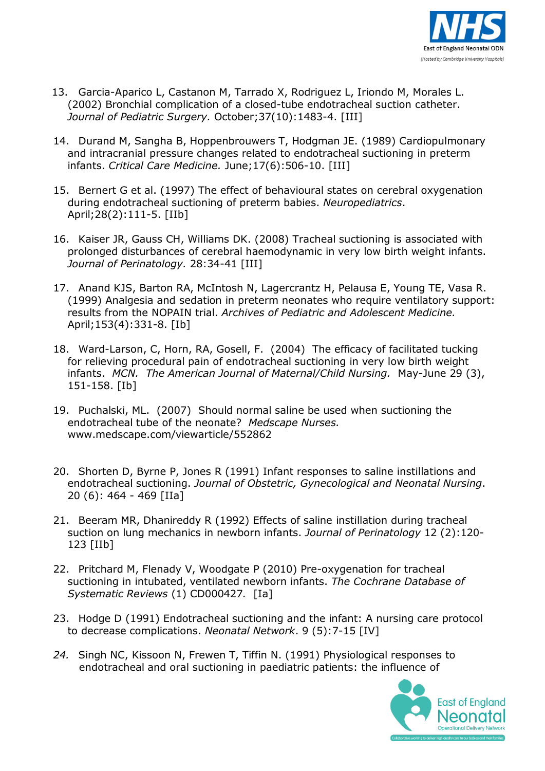

- 13. Garcia-Aparico L, Castanon M, Tarrado X, Rodriguez L, Iriondo M, Morales L. (2002) Bronchial complication of a closed-tube endotracheal suction catheter. *Journal of Pediatric Surgery.* October;37(10):1483-4. [III]
- 14. Durand M, Sangha B, Hoppenbrouwers T, Hodgman JE. (1989) Cardiopulmonary and intracranial pressure changes related to endotracheal suctioning in preterm infants. *Critical Care Medicine.* June;17(6):506-10. [III]
- 15. Bernert G et al. (1997) The effect of behavioural states on cerebral oxygenation during endotracheal suctioning of preterm babies. *Neuropediatrics*. April;28(2):111-5. [IIb]
- 16. Kaiser JR, Gauss CH, Williams DK. (2008) Tracheal suctioning is associated with prolonged disturbances of cerebral haemodynamic in very low birth weight infants. *Journal of Perinatology.* 28:34-41 [III]
- 17. Anand KJS, Barton RA, McIntosh N, Lagercrantz H, Pelausa E, Young TE, Vasa R. (1999) Analgesia and sedation in preterm neonates who require ventilatory support: results from the NOPAIN trial. *Archives of Pediatric and Adolescent Medicine.* April;153(4):331-8. [Ib]
- 18. Ward-Larson, C, Horn, RA, Gosell, F. (2004) The efficacy of facilitated tucking for relieving procedural pain of endotracheal suctioning in very low birth weight infants. *MCN. The American Journal of Maternal/Child Nursing.* May-June 29 (3), 151-158. [Ib]
- 19. Puchalski, ML. (2007) Should normal saline be used when suctioning the endotracheal tube of the neonate? *Medscape Nurses.*  [www.medscape.com/viewarticle/552862](http://www.medscape.com/viewarticle/552862)
- 20. Shorten D, Byrne P, Jones R (1991) Infant responses to saline instillations and endotracheal suctioning. *Journal of Obstetric, Gynecological and Neonatal Nursing*. 20 (6): 464 - 469 [IIa]
- 21. Beeram MR, Dhanireddy R (1992) Effects of saline instillation during tracheal suction on lung mechanics in newborn infants. *Journal of Perinatology* 12 (2):120- 123 [IIb]
- 22. Pritchard M, Flenady V, Woodgate P (2010) Pre-oxygenation for tracheal suctioning in intubated, ventilated newborn infants. *The Cochrane Database of Systematic Reviews* (1) CD000427*.* [Ia]
- 23. Hodge D (1991) Endotracheal suctioning and the infant: A nursing care protocol to decrease complications. *Neonatal Network*. 9 (5):7-15 [IV]
- *24.* Singh NC, Kissoon N, Frewen T, Tiffin N. (1991) Physiological responses to endotracheal and oral suctioning in paediatric patients: the influence of

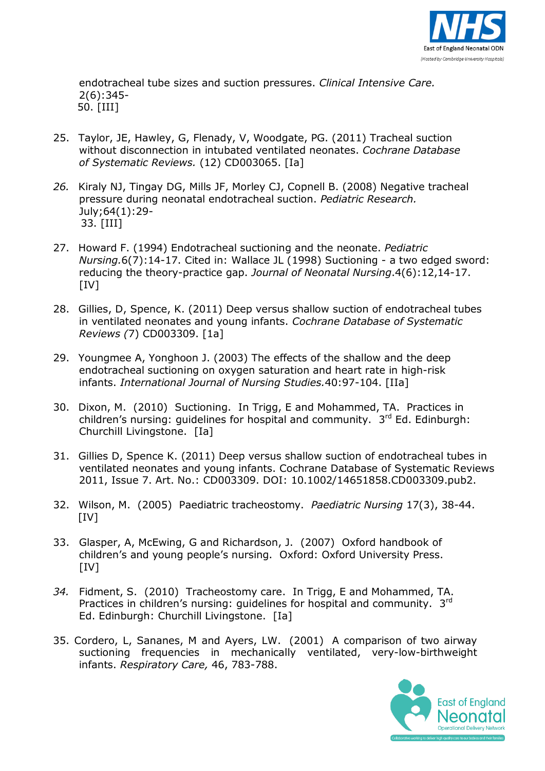

endotracheal tube sizes and suction pressures. *Clinical Intensive Care.* 2(6):345- 50. [III]

- 25. Taylor, JE, Hawley, G, Flenady, V, Woodgate, PG. (2011) Tracheal suction without disconnection in intubated ventilated neonates. *Cochrane Database of Systematic Reviews.* (12) CD003065. [Ia]
- *26.* Kiraly NJ, Tingay DG, Mills JF, Morley CJ, Copnell B. (2008) Negative tracheal pressure during neonatal endotracheal suction. *Pediatric Research.* July;64(1):29- 33. [III]
- 27. Howard F. (1994) Endotracheal suctioning and the neonate. *Pediatric Nursing.*6(7):14-17. Cited in: Wallace JL (1998) Suctioning - a two edged sword: reducing the theory-practice gap. *Journal of Neonatal Nursing*.4(6):12,14-17.  $[IV]$
- 28. Gillies, D, Spence, K. (2011) Deep versus shallow suction of endotracheal tubes in ventilated neonates and young infants. *Cochrane Database of Systematic Reviews (*7) CD003309. [1a]
- 29. Youngmee A, Yonghoon J. (2003) The effects of the shallow and the deep endotracheal suctioning on oxygen saturation and heart rate in high-risk infants. *International Journal of Nursing Studies.*40:97-104. [IIa]
- 30. Dixon, M. (2010) Suctioning. In Trigg, E and Mohammed, TA. Practices in children's nursing: guidelines for hospital and community. 3<sup>rd</sup> Ed. Edinburgh: Churchill Livingstone. [Ia]
- 31. Gillies D, Spence K. (2011) Deep versus shallow suction of endotracheal tubes in ventilated neonates and young infants. Cochrane Database of Systematic Reviews 2011, Issue 7. Art. No.: CD003309. DOI: 10.1002/14651858.CD003309.pub2.
- 32. Wilson, M. (2005) Paediatric tracheostomy. *Paediatric Nursing* 17(3), 38-44.  $[IV]$
- 33. Glasper, A, McEwing, G and Richardson, J. (2007) Oxford handbook of children's and young people's nursing. Oxford: Oxford University Press.  $[IV]$
- *34.* Fidment, S. (2010) Tracheostomy care. In Trigg, E and Mohammed, TA. Practices in children's nursing: guidelines for hospital and community.  $3^{rd}$ Ed. Edinburgh: Churchill Livingstone. [Ia]
- 35. Cordero, L, Sananes, M and Ayers, LW. (2001) A comparison of two airway suctioning frequencies in mechanically ventilated, very-low-birthweight infants. *Respiratory Care,* 46, 783-788.

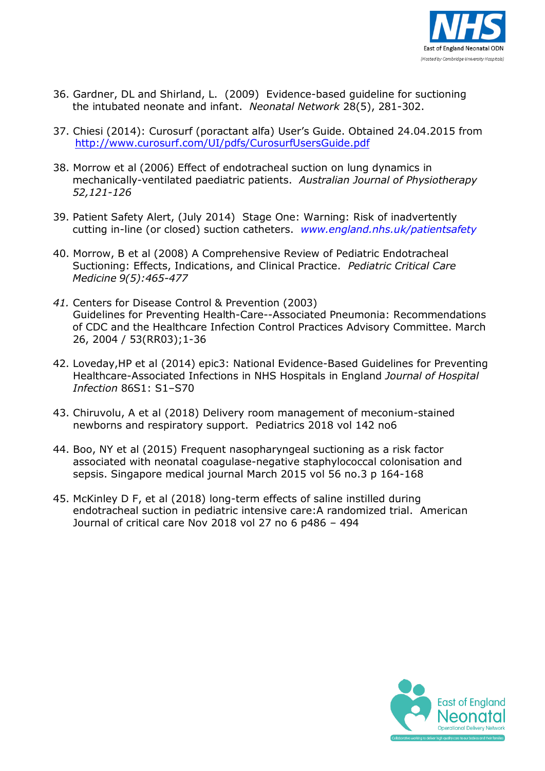

- 36. Gardner, DL and Shirland, L. (2009) Evidence-based guideline for suctioning the intubated neonate and infant. *Neonatal Network* 28(5), 281-302.
- 37. Chiesi (2014): Curosurf (poractant alfa) User's Guide. Obtained 24.04.2015 from <http://www.curosurf.com/UI/pdfs/CurosurfUsersGuide.pdf>
- 38. Morrow et al (2006) Effect of endotracheal suction on lung dynamics in mechanically-ventilated paediatric patients. *Australian Journal of Physiotherapy 52,121-126*
- 39. Patient Safety Alert, (July 2014) Stage One: Warning: Risk of inadvertently cutting in-line (or closed) suction catheters. *[www.england.nhs.uk/patientsafety](http://www.england.nhs.uk/patientsafety)*
- 40. Morrow, B et al (2008) A Comprehensive Review of Pediatric Endotracheal Suctioning: Effects, Indications, and Clinical Practice. *Pediatric Critical Care Medicine 9(5):465-477*
- *41.* Centers for Disease Control & Prevention (2003) Guidelines for Preventing Health-Care--Associated Pneumonia: Recommendations of CDC and the Healthcare Infection Control Practices Advisory Committee. March 26, 2004 / 53(RR03);1-36
- 42. Loveday,HP et al (2014) epic3: National Evidence-Based Guidelines for Preventing Healthcare-Associated Infections in NHS Hospitals in England *Journal of Hospital Infection* 86S1: S1–S70
- 43. Chiruvolu, A et al (2018) Delivery room management of meconium-stained newborns and respiratory support. Pediatrics 2018 vol 142 no6
- 44. Boo, NY et al (2015) Frequent nasopharyngeal suctioning as a risk factor associated with neonatal coagulase-negative staphylococcal colonisation and sepsis. Singapore medical journal March 2015 vol 56 no.3 p 164-168
- 45. McKinley D F, et al (2018) long-term effects of saline instilled during endotracheal suction in pediatric intensive care:A randomized trial. American Journal of critical care Nov 2018 vol 27 no 6 p486 – 494

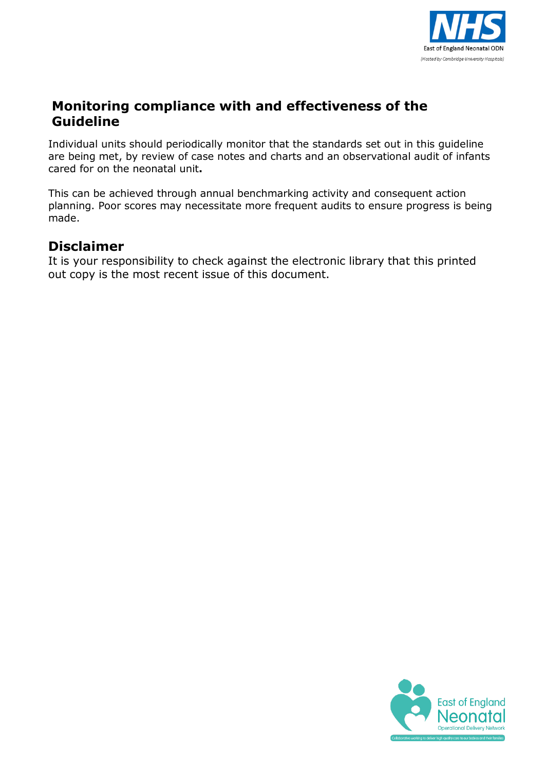

#### **Monitoring compliance with and effectiveness of the Guideline**

Individual units should periodically monitor that the standards set out in this guideline are being met, by review of case notes and charts and an observational audit of infants cared for on the neonatal unit**.**

This can be achieved through annual benchmarking activity and consequent action planning. Poor scores may necessitate more frequent audits to ensure progress is being made.

#### **Disclaimer**

It is your responsibility to check against the electronic library that this printed out copy is the most recent issue of this document.

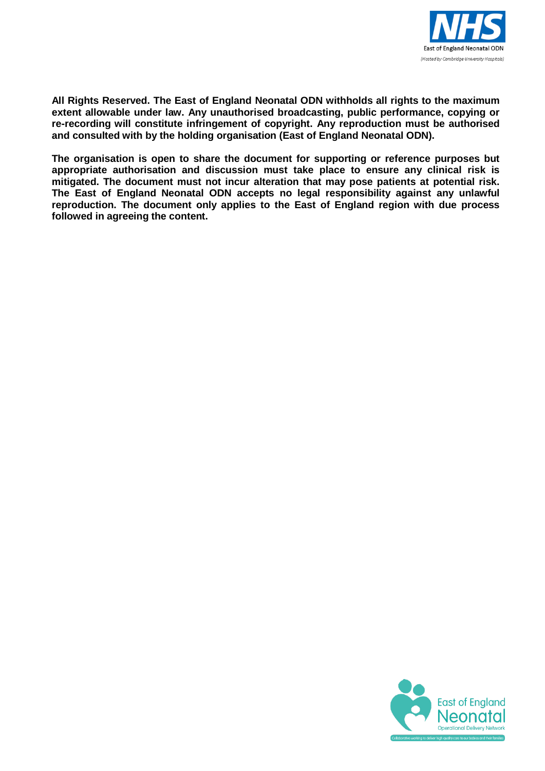

**All Rights Reserved. The East of England Neonatal ODN withholds all rights to the maximum extent allowable under law. Any unauthorised broadcasting, public performance, copying or re-recording will constitute infringement of copyright. Any reproduction must be authorised and consulted with by the holding organisation (East of England Neonatal ODN).**

**The organisation is open to share the document for supporting or reference purposes but appropriate authorisation and discussion must take place to ensure any clinical risk is mitigated. The document must not incur alteration that may pose patients at potential risk. The East of England Neonatal ODN accepts no legal responsibility against any unlawful reproduction. The document only applies to the East of England region with due process followed in agreeing the content.**